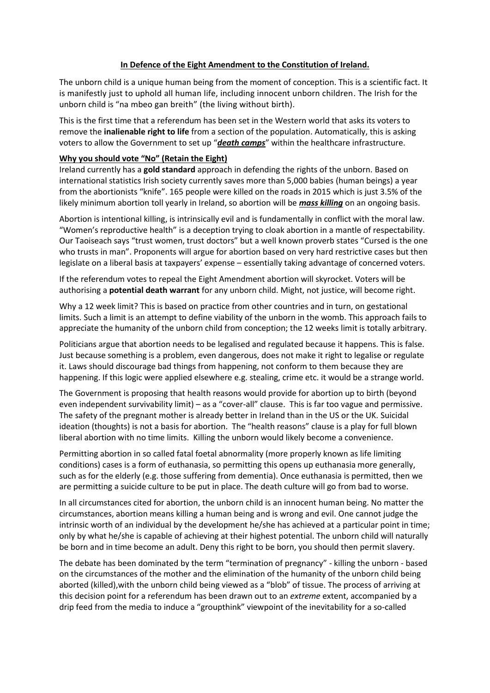## **In Defence of the Eight Amendment to the Constitution of Ireland.**

The unborn child is a unique human being from the moment of conception. This is a scientific fact. It is manifestly just to uphold all human life, including innocent unborn children. The Irish for the unborn child is "na mbeo gan breith" (the living without birth).

This is the first time that a referendum has been set in the Western world that asks its voters to remove the **inalienable right to life** from a section of the population. Automatically, this is asking voters to allow the Government to set up "*death camps*" within the healthcare infrastructure.

## **Why you should vote "No" (Retain the Eight)**

Ireland currently has a **gold standard** approach in defending the rights of the unborn. Based on international statistics Irish society currently saves more than 5,000 babies (human beings) a year from the abortionists "knife". 165 people were killed on the roads in 2015 which is just 3.5% of the likely minimum abortion toll yearly in Ireland, so abortion will be *mass killing* on an ongoing basis.

Abortion is intentional killing, is intrinsically evil and is fundamentally in conflict with the moral law. "Women's reproductive health" is a deception trying to cloak abortion in a mantle of respectability. Our Taoiseach says "trust women, trust doctors" but a well known proverb states "Cursed is the one who trusts in man". Proponents will argue for abortion based on very hard restrictive cases but then legislate on a liberal basis at taxpayers' expense – essentially taking advantage of concerned voters.

If the referendum votes to repeal the Eight Amendment abortion will skyrocket. Voters will be authorising a **potential death warrant** for any unborn child. Might, not justice, will become right.

Why a 12 week limit? This is based on practice from other countries and in turn, on gestational limits. Such a limit is an attempt to define viability of the unborn in the womb. This approach fails to appreciate the humanity of the unborn child from conception; the 12 weeks limit is totally arbitrary.

Politicians argue that abortion needs to be legalised and regulated because it happens. This is false. Just because something is a problem, even dangerous, does not make it right to legalise or regulate it. Laws should discourage bad things from happening, not conform to them because they are happening. If this logic were applied elsewhere e.g. stealing, crime etc. it would be a strange world.

The Government is proposing that health reasons would provide for abortion up to birth (beyond even independent survivability limit) – as a "cover-all" clause. This is far too vague and permissive. The safety of the pregnant mother is already better in Ireland than in the US or the UK. Suicidal ideation (thoughts) is not a basis for abortion. The "health reasons" clause is a play for full blown liberal abortion with no time limits. Killing the unborn would likely become a convenience.

Permitting abortion in so called fatal foetal abnormality (more properly known as life limiting conditions) cases is a form of euthanasia, so permitting this opens up euthanasia more generally, such as for the elderly (e.g. those suffering from dementia). Once euthanasia is permitted, then we are permitting a suicide culture to be put in place. The death culture will go from bad to worse.

In all circumstances cited for abortion, the unborn child is an innocent human being. No matter the circumstances, abortion means killing a human being and is wrong and evil. One cannot judge the intrinsic worth of an individual by the development he/she has achieved at a particular point in time; only by what he/she is capable of achieving at their highest potential. The unborn child will naturally be born and in time become an adult. Deny this right to be born, you should then permit slavery.

The debate has been dominated by the term "termination of pregnancy" - killing the unborn - based on the circumstances of the mother and the elimination of the humanity of the unborn child being aborted (killed),with the unborn child being viewed as a "blob" of tissue. The process of arriving at this decision point for a referendum has been drawn out to an *extreme* extent, accompanied by a drip feed from the media to induce a "groupthink" viewpoint of the inevitability for a so-called